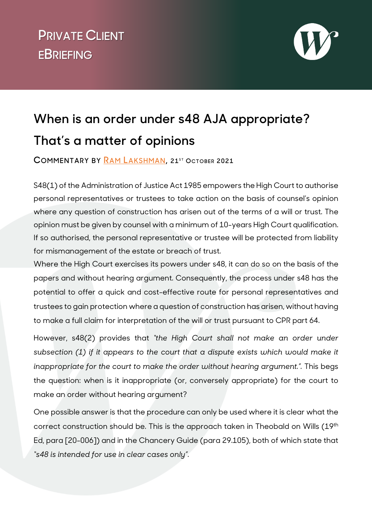## **v PRIVATE CLIENT EBRIEFING**



## **When is an order under s48 AJA appropriate? That's a matter of opinions**

**COMMENTARY BY [RAM LAKSHMAN,](https://www.wilberforce.co.uk/people/ram-lakshman) 21ST OCTOBER 2021** 

S48(1) of the Administration of Justice Act 1985 empowers the High Court to authorise personal representatives or trustees to take action on the basis of counsel's opinion where any question of construction has arisen out of the terms of a will or trust. The opinion must be given by counsel with a minimum of 10-years High Court qualification. If so authorised, the personal representative or trustee will be protected from liability for mismanagement of the estate or breach of trust.

Where the High Court exercises its powers under s48, it can do so on the basis of the papers and without hearing argument. Consequently, the process under s48 has the potential to offer a quick and cost-effective route for personal representatives and trustees to gain protection where a question of construction has arisen, without having to make a full claim for interpretation of the will or trust pursuant to CPR part 64.

However, s48(2) provides that *"the High Court shall not make an order under subsection (1) if it appears to the court that a dispute exists which would make it inappropriate for the court to make the order without hearing argument.".* This begs the question: when is it inappropriate (or, conversely appropriate) for the court to make an order without hearing argument?

One possible answer is that the procedure can only be used where it is clear what the correct construction should be. This is the approach taken in Theobald on Wills (19th Ed, para [20-006]) and in the Chancery Guide (para 29.105), both of which state that *"s48 is intended for use in clear cases only"*.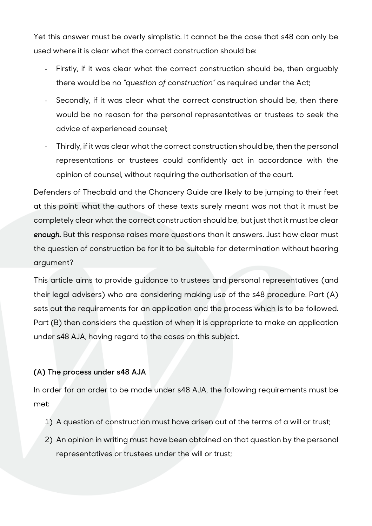Yet this answer must be overly simplistic. It cannot be the case that s48 can only be used where it is clear what the correct construction should be:

- Firstly, if it was clear what the correct construction should be, then arguably there would be no *"question of construction"* as required under the Act;
- Secondly, if it was clear what the correct construction should be, then there would be no reason for the personal representatives or trustees to seek the advice of experienced counsel;
- Thirdly, if it was clear what the correct construction should be, then the personal representations or trustees could confidently act in accordance with the opinion of counsel, without requiring the authorisation of the court.

Defenders of Theobald and the Chancery Guide are likely to be jumping to their feet at this point: what the authors of these texts surely meant was not that it must be completely clear what the correct construction should be, but just that it must be clear *enough*. But this response raises more questions than it answers. Just how clear must the question of construction be for it to be suitable for determination without hearing argument?

This article aims to provide guidance to trustees and personal representatives (and their legal advisers) who are considering making use of the s48 procedure. Part (A) sets out the requirements for an application and the process which is to be followed. Part (B) then considers the question of when it is appropriate to make an application under s48 AJA, having regard to the cases on this subject.

## **(A) The process under s48 AJA**

In order for an order to be made under s48 AJA, the following requirements must be met:

- 1) A question of construction must have arisen out of the terms of a will or trust;
- 2) An opinion in writing must have been obtained on that question by the personal representatives or trustees under the will or trust;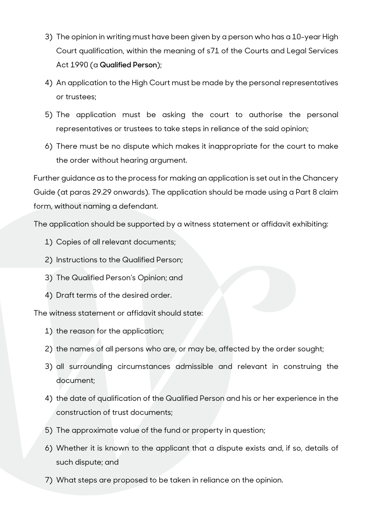- 3) The opinion in writing must have been given by a person who has a 10-year High Court qualification, within the meaning of s71 of the Courts and Legal Services Act 1990 (a **Qualified Person**);
- 4) An application to the High Court must be made by the personal representatives or trustees;
- 5) The application must be asking the court to authorise the personal representatives or trustees to take steps in reliance of the said opinion;
- 6) There must be no dispute which makes it inappropriate for the court to make the order without hearing argument.

Further guidance as to the process for making an application is set out in the Chancery Guide (at paras 29.29 onwards). The application should be made using a Part 8 claim form, without naming a defendant.

The application should be supported by a witness statement or affidavit exhibiting:

- 1) Copies of all relevant documents;
- 2) Instructions to the Qualified Person;
- 3) The Qualified Person's Opinion; and
- 4) Draft terms of the desired order.

The witness statement or affidavit should state:

- 1) the reason for the application;
- 2) the names of all persons who are, or may be, affected by the order sought;
- 3) all surrounding circumstances admissible and relevant in construing the document;
- 4) the date of qualification of the Qualified Person and his or her experience in the construction of trust documents;
- 5) The approximate value of the fund or property in question;
- 6) Whether it is known to the applicant that a dispute exists and, if so, details of such dispute; and
- 7) What steps are proposed to be taken in reliance on the opinion.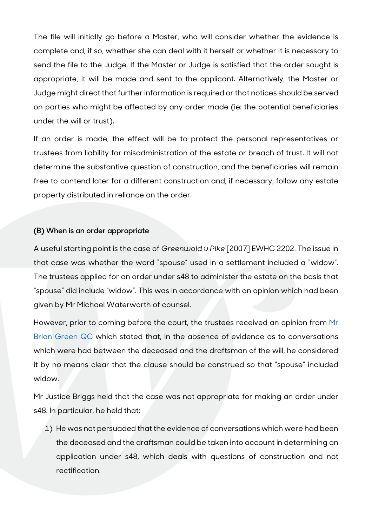The file will initially go before a Master, who will consider whether the evidence is complete and, if so, whether she can deal with it herself or whether it is necessary to send the file to the Judge. If the Master or Judge is satisfied that the order sought is appropriate, it will be made and sent to the applicant. Alternatively, the Master or Judge might direct that further information is required or that notices should be served on parties who might be affected by any order made (ie: the potential beneficiaries under the will or trust).

If an order is made, the effect will be to protect the personal representatives or trustees from liability for misadministration of the estate or breach of trust. It will not determine the substantive question of construction, and the beneficiaries will remain free to contend later for a different construction and, if necessary, follow any estate property distributed in reliance on the order.

## **(B) When is an order appropriate**

A useful starting point is the case of *Greenwold v Pike* [2007] EWHC 2202. The issue in that case was whether the word "spouse" used in a settlement included a "widow". The trustees applied for an order under s48 to administer the estate on the basis that "spouse" did include "widow". This was in accordance with an opinion which had been given by Mr Michael Waterworth of counsel.

However, prior to coming before the court, the trustees received an opinion from Mr [Brian Green QC](https://www.wilberforce.co.uk/people/brian-green) which stated that, in the absence of evidence as to conversations which were had between the deceased and the draftsman of the will, he considered it by no means clear that the clause should be construed so that "spouse" included widow.

Mr Justice Briggs held that the case was not appropriate for making an order under s48. In particular, he held that:

1) He was not persuaded that the evidence of conversations which were had been the deceased and the draftsman could be taken into account in determining an application under s48, which deals with questions of construction and not rectification.